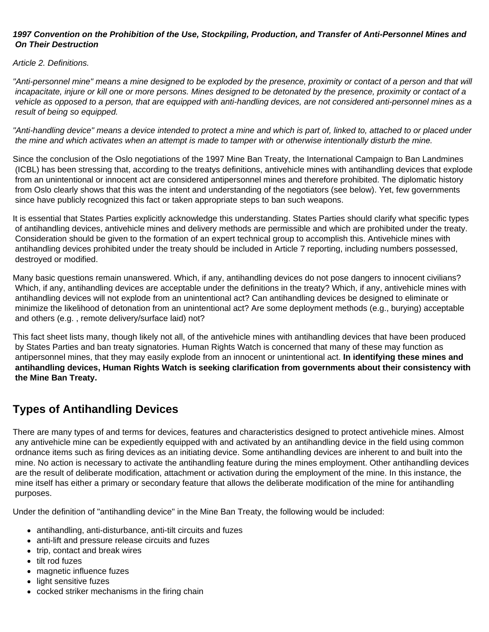#### *1997 Convention on the Prohibition of the Use, Stockpiling, Production, and Transfer of Anti-Personnel Mines and On Their Destruction*

*Article 2. Definitions.*

*"Anti-personnel mine" means a mine designed to be exploded by the presence, proximity or contact of a person and that will incapacitate, injure or kill one or more persons. Mines designed to be detonated by the presence, proximity or contact of a vehicle as opposed to a person, that are equipped with anti-handling devices, are not considered anti-personnel mines as a result of being so equipped.*

*"Anti-handling device" means a device intended to protect a mine and which is part of, linked to, attached to or placed under the mine and which activates when an attempt is made to tamper with or otherwise intentionally disturb the mine.*

Since the conclusion of the Oslo negotiations of the 1997 Mine Ban Treaty, the International Campaign to Ban Landmines (ICBL) has been stressing that, according to the treatys definitions, antivehicle mines with antihandling devices that explode from an unintentional or innocent act are considered antipersonnel mines and therefore prohibited. The diplomatic history from Oslo clearly shows that this was the intent and understanding of the negotiators (see below). Yet, few governments since have publicly recognized this fact or taken appropriate steps to ban such weapons.

It is essential that States Parties explicitly acknowledge this understanding. States Parties should clarify what specific types of antihandling devices, antivehicle mines and delivery methods are permissible and which are prohibited under the treaty. Consideration should be given to the formation of an expert technical group to accomplish this. Antivehicle mines with antihandling devices prohibited under the treaty should be included in Article 7 reporting, including numbers possessed, destroyed or modified.

Many basic questions remain unanswered. Which, if any, antihandling devices do not pose dangers to innocent civilians? Which, if any, antihandling devices are acceptable under the definitions in the treaty? Which, if any, antivehicle mines with antihandling devices will not explode from an unintentional act? Can antihandling devices be designed to eliminate or minimize the likelihood of detonation from an unintentional act? Are some deployment methods (e.g., burying) acceptable and others (e.g. , remote delivery/surface laid) not?

This fact sheet lists many, though likely not all, of the antivehicle mines with antihandling devices that have been produced by States Parties and ban treaty signatories. Human Rights Watch is concerned that many of these may function as antipersonnel mines, that they may easily explode from an innocent or unintentional act. **In identifying these mines and antihandling devices, Human Rights Watch is seeking clarification from governments about their consistency with the Mine Ban Treaty.**

# **Types of Antihandling Devices**

There are many types of and terms for devices, features and characteristics designed to protect antivehicle mines. Almost any antivehicle mine can be expediently equipped with and activated by an antihandling device in the field using common ordnance items such as firing devices as an initiating device. Some antihandling devices are inherent to and built into the mine. No action is necessary to activate the antihandling feature during the mines employment. Other antihandling devices are the result of deliberate modification, attachment or activation during the employment of the mine. In this instance, the mine itself has either a primary or secondary feature that allows the deliberate modification of the mine for antihandling purposes.

Under the definition of "antihandling device" in the Mine Ban Treaty, the following would be included:

- antihandling, anti-disturbance, anti-tilt circuits and fuzes
- anti-lift and pressure release circuits and fuzes
- trip, contact and break wires
- tilt rod fuzes
- magnetic influence fuzes
- light sensitive fuzes
- cocked striker mechanisms in the firing chain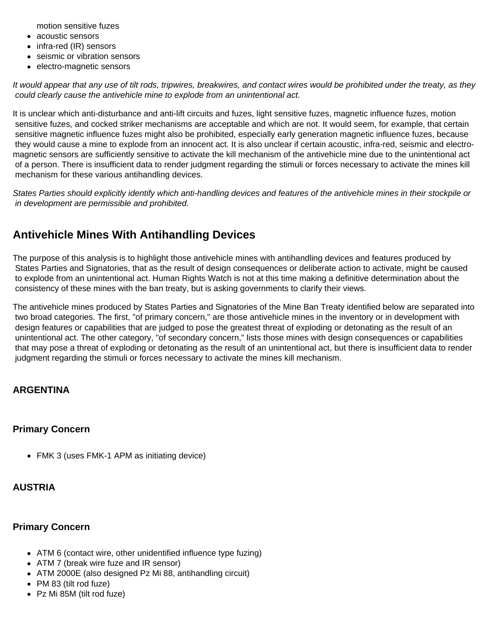motion sensitive fuzes

- acoustic sensors
- infra-red (IR) sensors
- seismic or vibration sensors
- electro-magnetic sensors

*It would appear that any use of tilt rods, tripwires, breakwires, and contact wires would be prohibited under the treaty, as they could clearly cause the antivehicle mine to explode from an unintentional act.*

It is unclear which anti-disturbance and anti-lift circuits and fuzes, light sensitive fuzes, magnetic influence fuzes, motion sensitive fuzes, and cocked striker mechanisms are acceptable and which are not. It would seem, for example, that certain sensitive magnetic influence fuzes might also be prohibited, especially early generation magnetic influence fuzes, because they would cause a mine to explode from an innocent act. It is also unclear if certain acoustic, infra-red, seismic and electromagnetic sensors are sufficiently sensitive to activate the kill mechanism of the antivehicle mine due to the unintentional act of a person. There is insufficient data to render judgment regarding the stimuli or forces necessary to activate the mines kill mechanism for these various antihandling devices.

*States Parties should explicitly identify which anti-handling devices and features of the antivehicle mines in their stockpile or in development are permissible and prohibited.*

# **Antivehicle Mines With Antihandling Devices**

The purpose of this analysis is to highlight those antivehicle mines with antihandling devices and features produced by States Parties and Signatories, that as the result of design consequences or deliberate action to activate, might be caused to explode from an unintentional act. Human Rights Watch is not at this time making a definitive determination about the consistency of these mines with the ban treaty, but is asking governments to clarify their views.

The antivehicle mines produced by States Parties and Signatories of the Mine Ban Treaty identified below are separated into two broad categories. The first, "of primary concern," are those antivehicle mines in the inventory or in development with design features or capabilities that are judged to pose the greatest threat of exploding or detonating as the result of an unintentional act. The other category, "of secondary concern," lists those mines with design consequences or capabilities that may pose a threat of exploding or detonating as the result of an unintentional act, but there is insufficient data to render judgment regarding the stimuli or forces necessary to activate the mines kill mechanism.

## **ARGENTINA**

#### **Primary Concern**

FMK 3 (uses FMK-1 APM as initiating device)

## **AUSTRIA**

#### **Primary Concern**

- ATM 6 (contact wire, other unidentified influence type fuzing)
- ATM 7 (break wire fuze and IR sensor)
- ATM 2000E (also designed Pz Mi 88, antihandling circuit)
- PM 83 (tilt rod fuze)
- Pz Mi 85M (tilt rod fuze)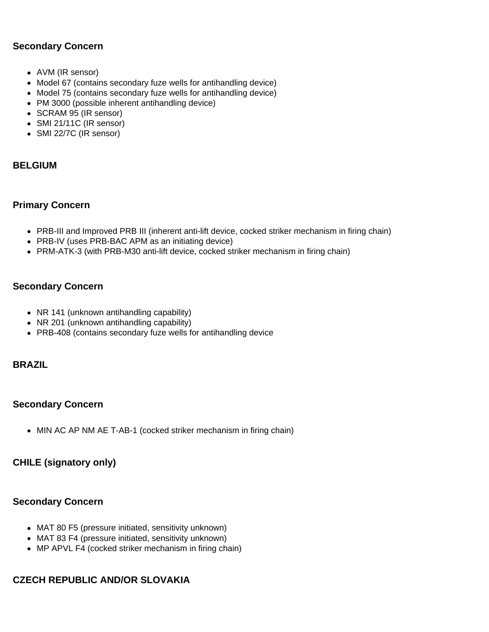## **Secondary Concern**

- AVM (IR sensor)
- Model 67 (contains secondary fuze wells for antihandling device)
- Model 75 (contains secondary fuze wells for antihandling device)
- PM 3000 (possible inherent antihandling device)
- SCRAM 95 (IR sensor)
- SMI 21/11C (IR sensor)
- SMI 22/7C (IR sensor)

### **BELGIUM**

#### **Primary Concern**

- PRB-III and Improved PRB III (inherent anti-lift device, cocked striker mechanism in firing chain)
- PRB-IV (uses PRB-BAC APM as an initiating device)
- PRM-ATK-3 (with PRB-M30 anti-lift device, cocked striker mechanism in firing chain)

### **Secondary Concern**

- NR 141 (unknown antihandling capability)
- NR 201 (unknown antihandling capability)
- PRB-408 (contains secondary fuze wells for antihandling device

## **BRAZIL**

#### **Secondary Concern**

• MIN AC AP NM AE T-AB-1 (cocked striker mechanism in firing chain)

## **CHILE (signatory only)**

#### **Secondary Concern**

- MAT 80 F5 (pressure initiated, sensitivity unknown)
- MAT 83 F4 (pressure initiated, sensitivity unknown)
- MP APVL F4 (cocked striker mechanism in firing chain)

## **CZECH REPUBLIC AND/OR SLOVAKIA**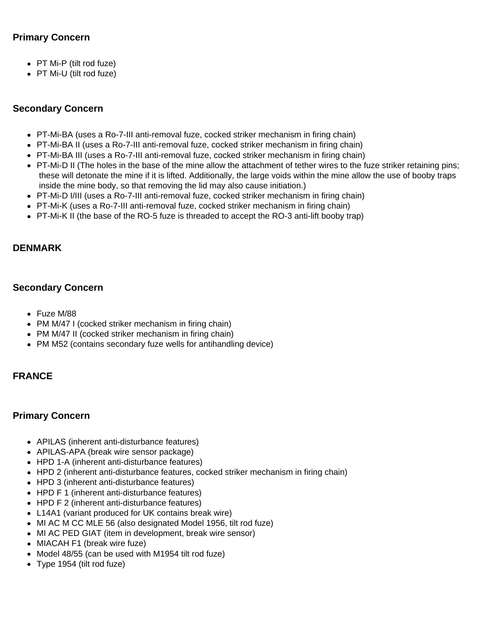## **Primary Concern**

- PT Mi-P (tilt rod fuze)
- PT Mi-U (tilt rod fuze)

## **Secondary Concern**

- PT-Mi-BA (uses a Ro-7-III anti-removal fuze, cocked striker mechanism in firing chain)
- PT-Mi-BA II (uses a Ro-7-III anti-removal fuze, cocked striker mechanism in firing chain)
- PT-Mi-BA III (uses a Ro-7-III anti-removal fuze, cocked striker mechanism in firing chain)
- PT-Mi-D II (The holes in the base of the mine allow the attachment of tether wires to the fuze striker retaining pins; these will detonate the mine if it is lifted. Additionally, the large voids within the mine allow the use of booby traps inside the mine body, so that removing the lid may also cause initiation.)
- PT-Mi-D I/III (uses a Ro-7-III anti-removal fuze, cocked striker mechanism in firing chain)
- PT-Mi-K (uses a Ro-7-III anti-removal fuze, cocked striker mechanism in firing chain)
- PT-Mi-K II (the base of the RO-5 fuze is threaded to accept the RO-3 anti-lift booby trap)

## **DENMARK**

### **Secondary Concern**

- Fuze M/88
- PM M/47 I (cocked striker mechanism in firing chain)
- PM M/47 II (cocked striker mechanism in firing chain)
- PM M52 (contains secondary fuze wells for antihandling device)

## **FRANCE**

#### **Primary Concern**

- APILAS (inherent anti-disturbance features)
- APILAS-APA (break wire sensor package)
- HPD 1-A (inherent anti-disturbance features)
- HPD 2 (inherent anti-disturbance features, cocked striker mechanism in firing chain)
- HPD 3 (inherent anti-disturbance features)
- HPD F 1 (inherent anti-disturbance features)
- HPD F 2 (inherent anti-disturbance features)
- L14A1 (variant produced for UK contains break wire)
- MI AC M CC MLE 56 (also designated Model 1956, tilt rod fuze)
- MI AC PED GIAT (item in development, break wire sensor)
- MIACAH F1 (break wire fuze)
- Model 48/55 (can be used with M1954 tilt rod fuze)
- Type 1954 (tilt rod fuze)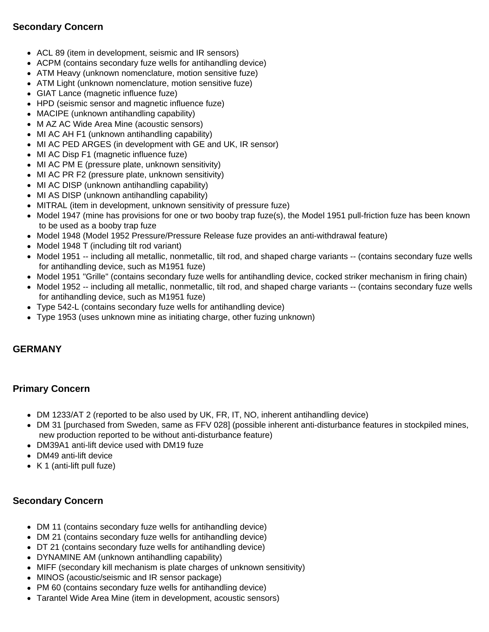## **Secondary Concern**

- ACL 89 (item in development, seismic and IR sensors)
- ACPM (contains secondary fuze wells for antihandling device)
- ATM Heavy (unknown nomenclature, motion sensitive fuze)
- ATM Light (unknown nomenclature, motion sensitive fuze)
- GIAT Lance (magnetic influence fuze)
- HPD (seismic sensor and magnetic influence fuze)
- MACIPE (unknown antihandling capability)
- M AZ AC Wide Area Mine (acoustic sensors)
- MI AC AH F1 (unknown antihandling capability)
- MI AC PED ARGES (in development with GE and UK, IR sensor)
- MI AC Disp F1 (magnetic influence fuze)
- MI AC PM E (pressure plate, unknown sensitivity)
- MI AC PR F2 (pressure plate, unknown sensitivity)
- MI AC DISP (unknown antihandling capability)
- MI AS DISP (unknown antihandling capability)
- MITRAL (item in development, unknown sensitivity of pressure fuze)
- Model 1947 (mine has provisions for one or two booby trap fuze(s), the Model 1951 pull-friction fuze has been known to be used as a booby trap fuze
- Model 1948 (Model 1952 Pressure/Pressure Release fuze provides an anti-withdrawal feature)
- Model 1948 T (including tilt rod variant)
- Model 1951 -- including all metallic, nonmetallic, tilt rod, and shaped charge variants -- (contains secondary fuze wells for antihandling device, such as M1951 fuze)
- Model 1951 "Grille" (contains secondary fuze wells for antihandling device, cocked striker mechanism in firing chain)
- Model 1952 -- including all metallic, nonmetallic, tilt rod, and shaped charge variants -- (contains secondary fuze wells for antihandling device, such as M1951 fuze)
- Type 542-L (contains secondary fuze wells for antihandling device)
- Type 1953 (uses unknown mine as initiating charge, other fuzing unknown)

## **GERMANY**

## **Primary Concern**

- DM 1233/AT 2 (reported to be also used by UK, FR, IT, NO, inherent antihandling device)
- DM 31 [purchased from Sweden, same as FFV 028] (possible inherent anti-disturbance features in stockpiled mines, new production reported to be without anti-disturbance feature)
- DM39A1 anti-lift device used with DM19 fuze
- DM49 anti-lift device
- $\bullet$  K 1 (anti-lift pull fuze)

## **Secondary Concern**

- DM 11 (contains secondary fuze wells for antihandling device)
- DM 21 (contains secondary fuze wells for antihandling device)
- DT 21 (contains secondary fuze wells for antihandling device)
- DYNAMINE AM (unknown antihandling capability)
- MIFF (secondary kill mechanism is plate charges of unknown sensitivity)
- MINOS (acoustic/seismic and IR sensor package)
- PM 60 (contains secondary fuze wells for antihandling device)
- Tarantel Wide Area Mine (item in development, acoustic sensors)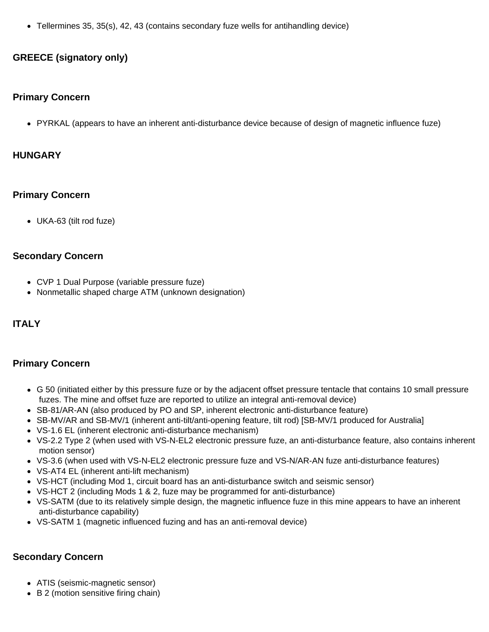Tellermines 35, 35(s), 42, 43 (contains secondary fuze wells for antihandling device)

## **GREECE (signatory only)**

#### **Primary Concern**

PYRKAL (appears to have an inherent anti-disturbance device because of design of magnetic influence fuze)

### **HUNGARY**

### **Primary Concern**

UKA-63 (tilt rod fuze)

### **Secondary Concern**

- CVP 1 Dual Purpose (variable pressure fuze)
- Nonmetallic shaped charge ATM (unknown designation)

## **ITALY**

## **Primary Concern**

- G 50 (initiated either by this pressure fuze or by the adjacent offset pressure tentacle that contains 10 small pressure fuzes. The mine and offset fuze are reported to utilize an integral anti-removal device)
- SB-81/AR-AN (also produced by PO and SP, inherent electronic anti-disturbance feature)
- SB-MV/AR and SB-MV/1 (inherent anti-tilt/anti-opening feature, tilt rod) [SB-MV/1 produced for Australia]
- VS-1.6 EL (inherent electronic anti-disturbance mechanism)
- VS-2.2 Type 2 (when used with VS-N-EL2 electronic pressure fuze, an anti-disturbance feature, also contains inherent motion sensor)
- VS-3.6 (when used with VS-N-EL2 electronic pressure fuze and VS-N/AR-AN fuze anti-disturbance features)
- VS-AT4 EL (inherent anti-lift mechanism)
- VS-HCT (including Mod 1, circuit board has an anti-disturbance switch and seismic sensor)
- VS-HCT 2 (including Mods 1 & 2, fuze may be programmed for anti-disturbance)
- VS-SATM (due to its relatively simple design, the magnetic influence fuze in this mine appears to have an inherent anti-disturbance capability)
- VS-SATM 1 (magnetic influenced fuzing and has an anti-removal device)

## **Secondary Concern**

- ATIS (seismic-magnetic sensor)
- B 2 (motion sensitive firing chain)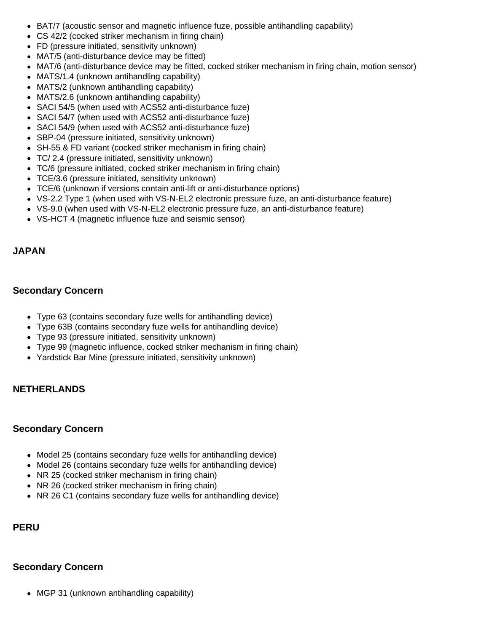- BAT/7 (acoustic sensor and magnetic influence fuze, possible antihandling capability)
- CS 42/2 (cocked striker mechanism in firing chain)
- FD (pressure initiated, sensitivity unknown)
- MAT/5 (anti-disturbance device may be fitted)
- MAT/6 (anti-disturbance device may be fitted, cocked striker mechanism in firing chain, motion sensor)
- MATS/1.4 (unknown antihandling capability)
- MATS/2 (unknown antihandling capability)
- MATS/2.6 (unknown antihandling capability)
- SACI 54/5 (when used with ACS52 anti-disturbance fuze)
- SACI 54/7 (when used with ACS52 anti-disturbance fuze)
- SACI 54/9 (when used with ACS52 anti-disturbance fuze)
- SBP-04 (pressure initiated, sensitivity unknown)
- SH-55 & FD variant (cocked striker mechanism in firing chain)
- TC/ 2.4 (pressure initiated, sensitivity unknown)
- TC/6 (pressure initiated, cocked striker mechanism in firing chain)
- TCE/3.6 (pressure initiated, sensitivity unknown)
- TCE/6 (unknown if versions contain anti-lift or anti-disturbance options)
- VS-2.2 Type 1 (when used with VS-N-EL2 electronic pressure fuze, an anti-disturbance feature)
- VS-9.0 (when used with VS-N-EL2 electronic pressure fuze, an anti-disturbance feature)
- VS-HCT 4 (magnetic influence fuze and seismic sensor)

## **JAPAN**

## **Secondary Concern**

- Type 63 (contains secondary fuze wells for antihandling device)
- Type 63B (contains secondary fuze wells for antihandling device)
- Type 93 (pressure initiated, sensitivity unknown)
- Type 99 (magnetic influence, cocked striker mechanism in firing chain)
- Yardstick Bar Mine (pressure initiated, sensitivity unknown)

## **NETHERLANDS**

## **Secondary Concern**

- Model 25 (contains secondary fuze wells for antihandling device)
- Model 26 (contains secondary fuze wells for antihandling device)
- NR 25 (cocked striker mechanism in firing chain)
- NR 26 (cocked striker mechanism in firing chain)
- NR 26 C1 (contains secondary fuze wells for antihandling device)

## **PERU**

## **Secondary Concern**

• MGP 31 (unknown antihandling capability)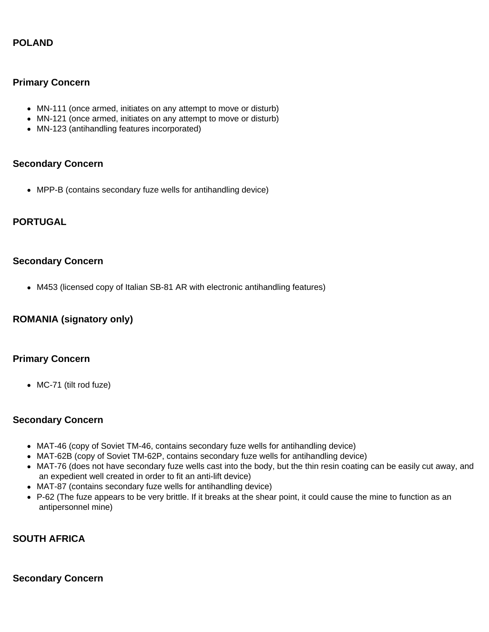## **POLAND**

### **Primary Concern**

- MN-111 (once armed, initiates on any attempt to move or disturb)
- MN-121 (once armed, initiates on any attempt to move or disturb)
- MN-123 (antihandling features incorporated)

#### **Secondary Concern**

MPP-B (contains secondary fuze wells for antihandling device)

## **PORTUGAL**

#### **Secondary Concern**

M453 (licensed copy of Italian SB-81 AR with electronic antihandling features)

## **ROMANIA (signatory only)**

#### **Primary Concern**

• MC-71 (tilt rod fuze)

#### **Secondary Concern**

- MAT-46 (copy of Soviet TM-46, contains secondary fuze wells for antihandling device)
- MAT-62B (copy of Soviet TM-62P, contains secondary fuze wells for antihandling device)
- MAT-76 (does not have secondary fuze wells cast into the body, but the thin resin coating can be easily cut away, and an expedient well created in order to fit an anti-lift device)
- MAT-87 (contains secondary fuze wells for antihandling device)
- P-62 (The fuze appears to be very brittle. If it breaks at the shear point, it could cause the mine to function as an antipersonnel mine)

## **SOUTH AFRICA**

#### **Secondary Concern**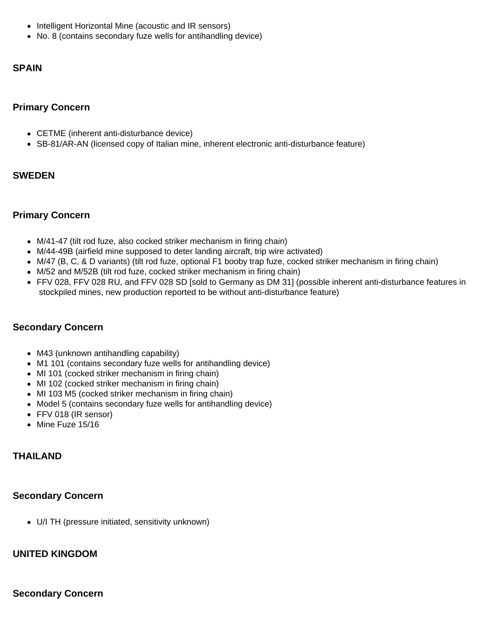- Intelligent Horizontal Mine (acoustic and IR sensors)
- No. 8 (contains secondary fuze wells for antihandling device)

### **SPAIN**

### **Primary Concern**

- CETME (inherent anti-disturbance device)
- SB-81/AR-AN (licensed copy of Italian mine, inherent electronic anti-disturbance feature)

### **SWEDEN**

### **Primary Concern**

- M/41-47 (tilt rod fuze, also cocked striker mechanism in firing chain)
- M/44-49B (airfield mine supposed to deter landing aircraft, trip wire activated)
- M/47 (B, C, & D variants) (tilt rod fuze, optional F1 booby trap fuze, cocked striker mechanism in firing chain)
- M/52 and M/52B (tilt rod fuze, cocked striker mechanism in firing chain)
- FFV 028, FFV 028 RU, and FFV 028 SD [sold to Germany as DM 31] (possible inherent anti-disturbance features in stockpiled mines, new production reported to be without anti-disturbance feature)

## **Secondary Concern**

- M43 (unknown antihandling capability)
- M1 101 (contains secondary fuze wells for antihandling device)
- MI 101 (cocked striker mechanism in firing chain)
- MI 102 (cocked striker mechanism in firing chain)
- MI 103 M5 (cocked striker mechanism in firing chain)
- Model 5 (contains secondary fuze wells for antihandling device)
- FFV 018 (IR sensor)
- $\bullet$  Mine Fuze 15/16

## **THAILAND**

#### **Secondary Concern**

U/I TH (pressure initiated, sensitivity unknown)

#### **UNITED KINGDOM**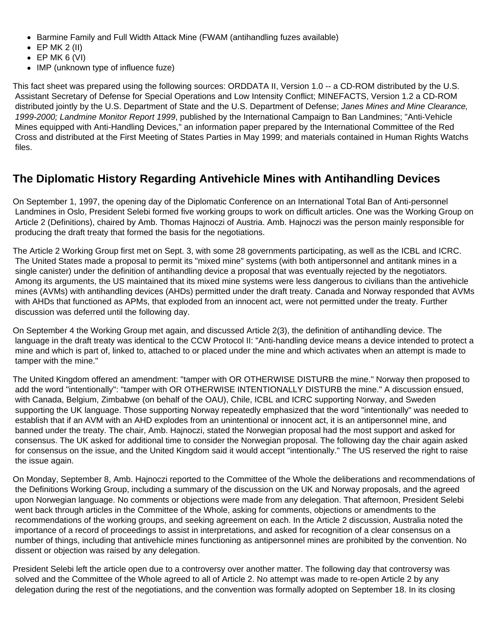- Barmine Family and Full Width Attack Mine (FWAM (antihandling fuzes available)
- $\bullet$  EP MK 2 (II)
- $\bullet$  EP MK 6 (VI)
- IMP (unknown type of influence fuze)

This fact sheet was prepared using the following sources: ORDDATA II, Version 1.0 -- a CD-ROM distributed by the U.S. Assistant Secretary of Defense for Special Operations and Low Intensity Conflict; MINEFACTS, Version 1.2 a CD-ROM distributed jointly by the U.S. Department of State and the U.S. Department of Defense; *Janes Mines and Mine Clearance, 1999-2000; Landmine Monitor Report 1999*, published by the International Campaign to Ban Landmines; "Anti-Vehicle Mines equipped with Anti-Handling Devices," an information paper prepared by the International Committee of the Red Cross and distributed at the First Meeting of States Parties in May 1999; and materials contained in Human Rights Watchs files.

# **The Diplomatic History Regarding Antivehicle Mines with Antihandling Devices**

On September 1, 1997, the opening day of the Diplomatic Conference on an International Total Ban of Anti-personnel Landmines in Oslo, President Selebi formed five working groups to work on difficult articles. One was the Working Group on Article 2 (Definitions), chaired by Amb. Thomas Hajnoczi of Austria. Amb. Hajnoczi was the person mainly responsible for producing the draft treaty that formed the basis for the negotiations.

The Article 2 Working Group first met on Sept. 3, with some 28 governments participating, as well as the ICBL and ICRC. The United States made a proposal to permit its "mixed mine" systems (with both antipersonnel and antitank mines in a single canister) under the definition of antihandling device a proposal that was eventually rejected by the negotiators. Among its arguments, the US maintained that its mixed mine systems were less dangerous to civilians than the antivehicle mines (AVMs) with antihandling devices (AHDs) permitted under the draft treaty. Canada and Norway responded that AVMs with AHDs that functioned as APMs, that exploded from an innocent act, were not permitted under the treaty. Further discussion was deferred until the following day.

On September 4 the Working Group met again, and discussed Article 2(3), the definition of antihandling device. The language in the draft treaty was identical to the CCW Protocol II: "Anti-handling device means a device intended to protect a mine and which is part of, linked to, attached to or placed under the mine and which activates when an attempt is made to tamper with the mine."

The United Kingdom offered an amendment: "tamper with OR OTHERWISE DISTURB the mine." Norway then proposed to add the word "intentionally": "tamper with OR OTHERWISE INTENTIONALLY DISTURB the mine." A discussion ensued, with Canada, Belgium, Zimbabwe (on behalf of the OAU), Chile, ICBL and ICRC supporting Norway, and Sweden supporting the UK language. Those supporting Norway repeatedly emphasized that the word "intentionally" was needed to establish that if an AVM with an AHD explodes from an unintentional or innocent act, it is an antipersonnel mine, and banned under the treaty. The chair, Amb. Hajnoczi, stated the Norwegian proposal had the most support and asked for consensus. The UK asked for additional time to consider the Norwegian proposal. The following day the chair again asked for consensus on the issue, and the United Kingdom said it would accept "intentionally." The US reserved the right to raise the issue again.

On Monday, September 8, Amb. Hajnoczi reported to the Committee of the Whole the deliberations and recommendations of the Definitions Working Group, including a summary of the discussion on the UK and Norway proposals, and the agreed upon Norwegian language. No comments or objections were made from any delegation. That afternoon, President Selebi went back through articles in the Committee of the Whole, asking for comments, objections or amendments to the recommendations of the working groups, and seeking agreement on each. In the Article 2 discussion, Australia noted the importance of a record of proceedings to assist in interpretations, and asked for recognition of a clear consensus on a number of things, including that antivehicle mines functioning as antipersonnel mines are prohibited by the convention. No dissent or objection was raised by any delegation.

President Selebi left the article open due to a controversy over another matter. The following day that controversy was solved and the Committee of the Whole agreed to all of Article 2. No attempt was made to re-open Article 2 by any delegation during the rest of the negotiations, and the convention was formally adopted on September 18. In its closing